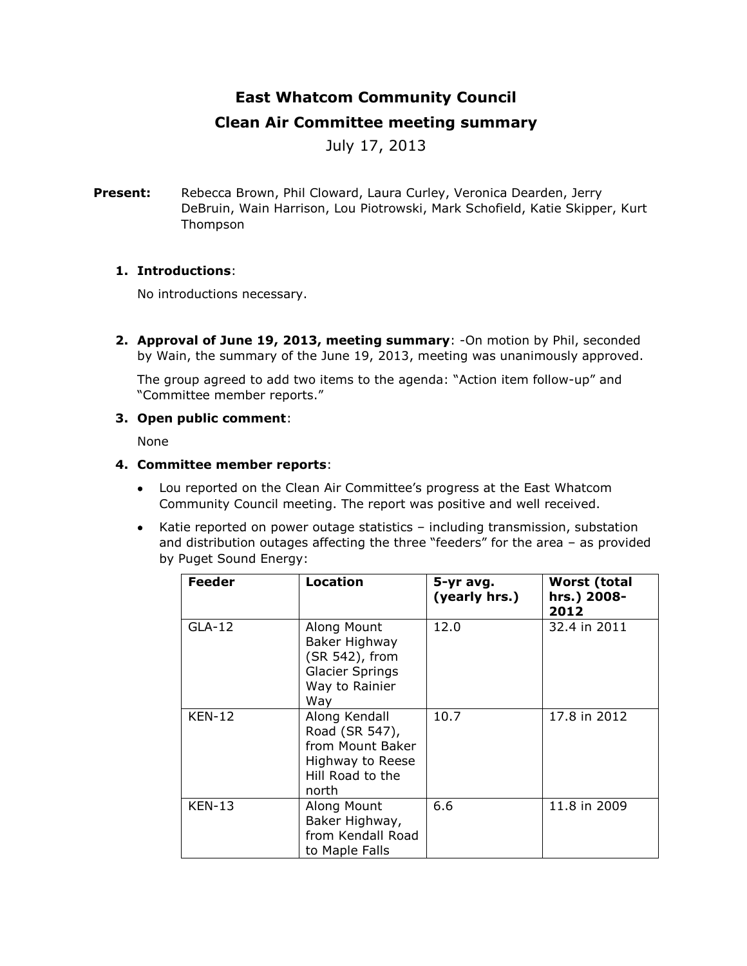# **East Whatcom Community Council**

## **Clean Air Committee meeting summary**

July 17, 2013

**Present:** Rebecca Brown, Phil Cloward, Laura Curley, Veronica Dearden, Jerry DeBruin, Wain Harrison, Lou Piotrowski, Mark Schofield, Katie Skipper, Kurt Thompson

## **1. Introductions**:

No introductions necessary.

**2. Approval of June 19, 2013, meeting summary**: -On motion by Phil, seconded by Wain, the summary of the June 19, 2013, meeting was unanimously approved.

The group agreed to add two items to the agenda: "Action item follow-up" and "Committee member reports."

## **3. Open public comment**:

None

## **4. Committee member reports**:

- Lou reported on the Clean Air Committee's progress at the East Whatcom Community Council meeting. The report was positive and well received.
- Katie reported on power outage statistics including transmission, substation and distribution outages affecting the three "feeders" for the area – as provided by Puget Sound Energy:

| <b>Feeder</b> | <b>Location</b>                                                                                      | 5-yr avg.<br>(yearly hrs.) | <b>Worst (total</b><br>hrs.) 2008-<br>2012 |
|---------------|------------------------------------------------------------------------------------------------------|----------------------------|--------------------------------------------|
| <b>GLA-12</b> | Along Mount<br>Baker Highway<br>(SR 542), from<br><b>Glacier Springs</b><br>Way to Rainier<br>Way    | 12.0                       | 32.4 in 2011                               |
| <b>KEN-12</b> | Along Kendall<br>Road (SR 547),<br>from Mount Baker<br>Highway to Reese<br>Hill Road to the<br>north | 10.7                       | 17.8 in 2012                               |
| <b>KEN-13</b> | Along Mount<br>Baker Highway,<br>from Kendall Road<br>to Maple Falls                                 | 6.6                        | 11.8 in 2009                               |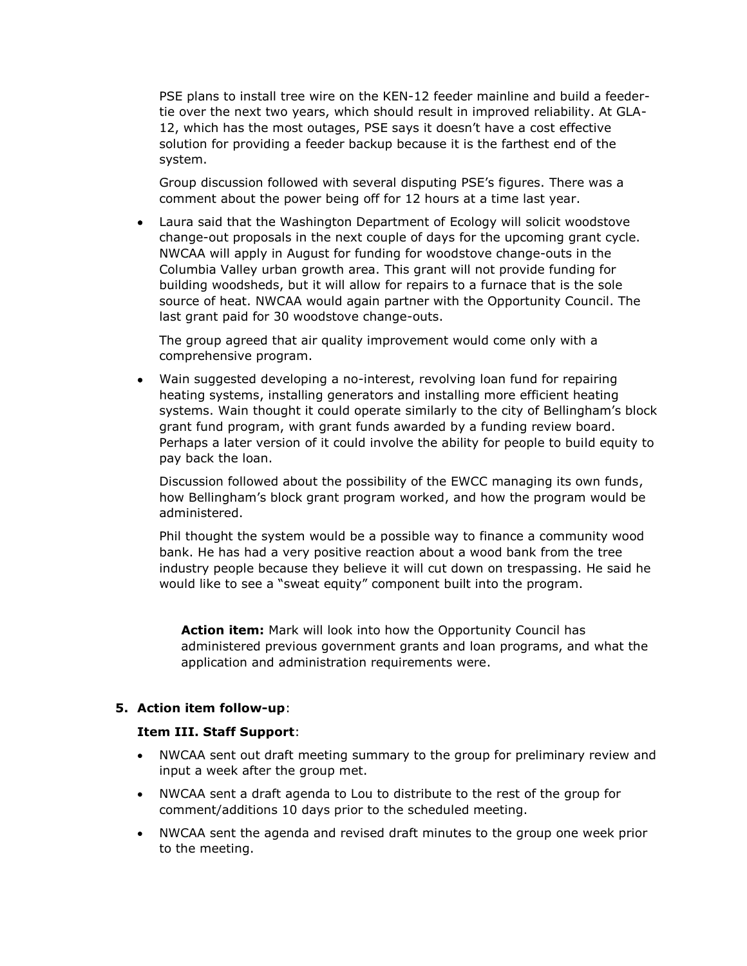PSE plans to install tree wire on the KEN-12 feeder mainline and build a feedertie over the next two years, which should result in improved reliability. At GLA-12, which has the most outages, PSE says it doesn't have a cost effective solution for providing a feeder backup because it is the farthest end of the system.

Group discussion followed with several disputing PSE's figures. There was a comment about the power being off for 12 hours at a time last year.

 Laura said that the Washington Department of Ecology will solicit woodstove change-out proposals in the next couple of days for the upcoming grant cycle. NWCAA will apply in August for funding for woodstove change-outs in the Columbia Valley urban growth area. This grant will not provide funding for building woodsheds, but it will allow for repairs to a furnace that is the sole source of heat. NWCAA would again partner with the Opportunity Council. The last grant paid for 30 woodstove change-outs.

The group agreed that air quality improvement would come only with a comprehensive program.

 Wain suggested developing a no-interest, revolving loan fund for repairing heating systems, installing generators and installing more efficient heating systems. Wain thought it could operate similarly to the city of Bellingham's block grant fund program, with grant funds awarded by a funding review board. Perhaps a later version of it could involve the ability for people to build equity to pay back the loan.

Discussion followed about the possibility of the EWCC managing its own funds, how Bellingham's block grant program worked, and how the program would be administered.

Phil thought the system would be a possible way to finance a community wood bank. He has had a very positive reaction about a wood bank from the tree industry people because they believe it will cut down on trespassing. He said he would like to see a "sweat equity" component built into the program.

**Action item:** Mark will look into how the Opportunity Council has administered previous government grants and loan programs, and what the application and administration requirements were.

### **5. Action item follow-up**:

### **Item III. Staff Support**:

- NWCAA sent out draft meeting summary to the group for preliminary review and input a week after the group met.
- NWCAA sent a draft agenda to Lou to distribute to the rest of the group for comment/additions 10 days prior to the scheduled meeting.
- NWCAA sent the agenda and revised draft minutes to the group one week prior to the meeting.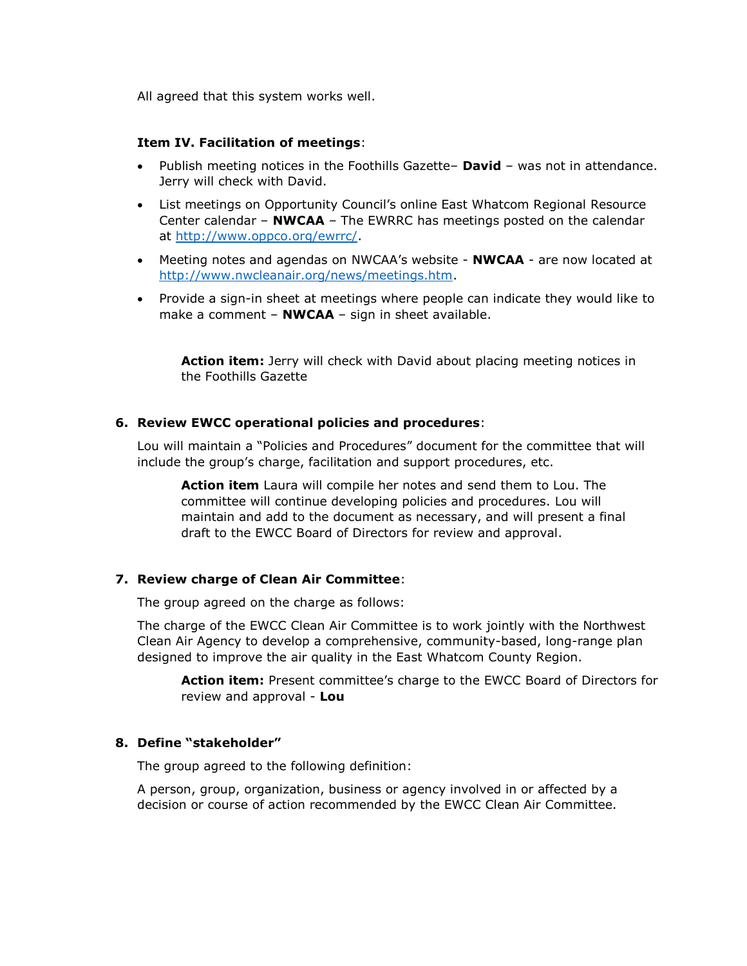All agreed that this system works well.

### **Item IV. Facilitation of meetings**:

- Publish meeting notices in the Foothills Gazette– **David**  was not in attendance. Jerry will check with David.
- List meetings on Opportunity Council's online East Whatcom Regional Resource Center calendar – **NWCAA** – The EWRRC has meetings posted on the calendar at [http://www.oppco.org/ewrrc/.](http://www.oppco.org/ewrrc/)
- Meeting notes and agendas on NWCAA's website **NWCAA** are now located at [http://www.nwcleanair.org/news/meetings.htm.](http://www.nwcleanair.org/news/meetings.htm)
- Provide a sign-in sheet at meetings where people can indicate they would like to make a comment – **NWCAA** – sign in sheet available.

Action item: Jerry will check with David about placing meeting notices in the Foothills Gazette

#### **6. Review EWCC operational policies and procedures**:

Lou will maintain a "Policies and Procedures" document for the committee that will include the group's charge, facilitation and support procedures, etc.

**Action item** Laura will compile her notes and send them to Lou. The committee will continue developing policies and procedures. Lou will maintain and add to the document as necessary, and will present a final draft to the EWCC Board of Directors for review and approval.

#### **7. Review charge of Clean Air Committee**:

The group agreed on the charge as follows:

The charge of the EWCC Clean Air Committee is to work jointly with the Northwest Clean Air Agency to develop a comprehensive, community-based, long-range plan designed to improve the air quality in the East Whatcom County Region.

**Action item:** Present committee's charge to the EWCC Board of Directors for review and approval - **Lou**

#### **8. Define "stakeholder"**

The group agreed to the following definition:

A person, group, organization, business or agency involved in or affected by a decision or course of action recommended by the EWCC Clean Air Committee.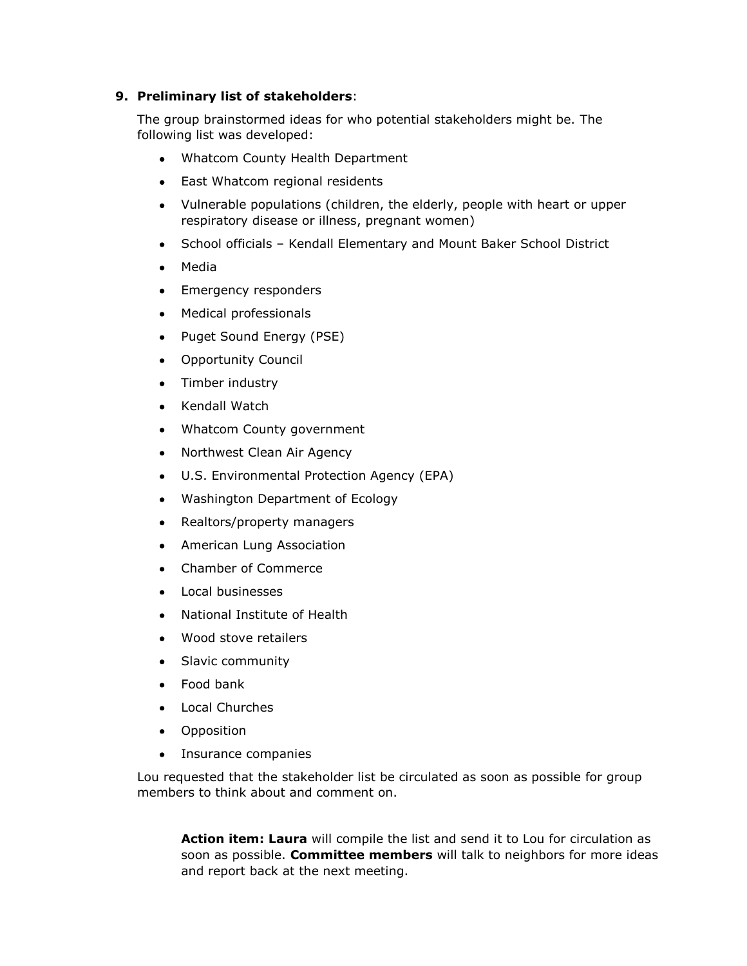## **9. Preliminary list of stakeholders**:

The group brainstormed ideas for who potential stakeholders might be. The following list was developed:

- Whatcom County Health Department
- East Whatcom regional residents
- Vulnerable populations (children, the elderly, people with heart or upper respiratory disease or illness, pregnant women)
- School officials Kendall Elementary and Mount Baker School District
- Media
- Emergency responders
- Medical professionals
- Puget Sound Energy (PSE)
- Opportunity Council
- Timber industry
- Kendall Watch
- Whatcom County government
- Northwest Clean Air Agency
- U.S. Environmental Protection Agency (EPA)
- Washington Department of Ecology
- Realtors/property managers
- American Lung Association
- Chamber of Commerce
- Local businesses
- National Institute of Health
- Wood stove retailers
- Slavic community
- Food bank
- Local Churches
- **•** Opposition
- Insurance companies

Lou requested that the stakeholder list be circulated as soon as possible for group members to think about and comment on.

**Action item: Laura** will compile the list and send it to Lou for circulation as soon as possible. **Committee members** will talk to neighbors for more ideas and report back at the next meeting.